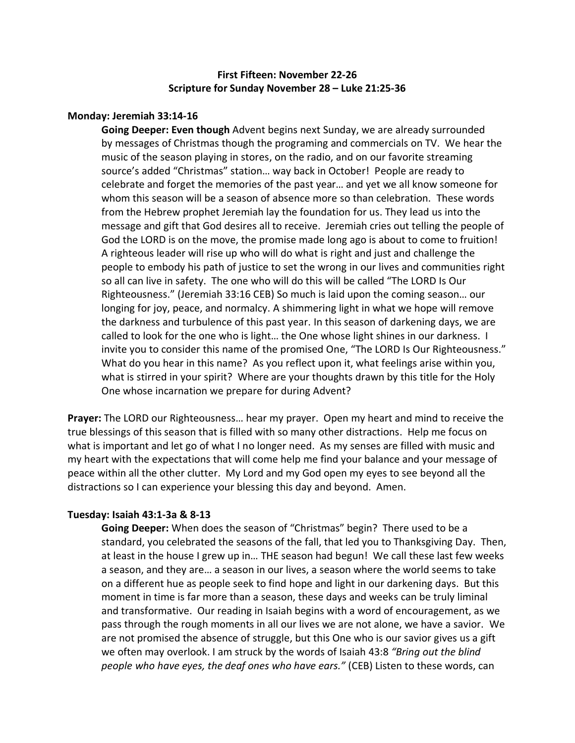# **First Fifteen: November 22-26 Scripture for Sunday November 28 – Luke 21:25-36**

### **Monday: Jeremiah 33:14-16**

**Going Deeper: Even though** Advent begins next Sunday, we are already surrounded by messages of Christmas though the programing and commercials on TV. We hear the music of the season playing in stores, on the radio, and on our favorite streaming source's added "Christmas" station… way back in October! People are ready to celebrate and forget the memories of the past year… and yet we all know someone for whom this season will be a season of absence more so than celebration. These words from the Hebrew prophet Jeremiah lay the foundation for us. They lead us into the message and gift that God desires all to receive. Jeremiah cries out telling the people of God the LORD is on the move, the promise made long ago is about to come to fruition! A righteous leader will rise up who will do what is right and just and challenge the people to embody his path of justice to set the wrong in our lives and communities right so all can live in safety. The one who will do this will be called "The LORD Is Our Righteousness." (Jeremiah 33:16 CEB) So much is laid upon the coming season… our longing for joy, peace, and normalcy. A shimmering light in what we hope will remove the darkness and turbulence of this past year. In this season of darkening days, we are called to look for the one who is light… the One whose light shines in our darkness. I invite you to consider this name of the promised One, "The LORD Is Our Righteousness." What do you hear in this name? As you reflect upon it, what feelings arise within you, what is stirred in your spirit? Where are your thoughts drawn by this title for the Holy One whose incarnation we prepare for during Advent?

**Prayer:** The LORD our Righteousness… hear my prayer. Open my heart and mind to receive the true blessings of this season that is filled with so many other distractions. Help me focus on what is important and let go of what I no longer need. As my senses are filled with music and my heart with the expectations that will come help me find your balance and your message of peace within all the other clutter. My Lord and my God open my eyes to see beyond all the distractions so I can experience your blessing this day and beyond. Amen.

#### **Tuesday: Isaiah 43:1-3a & 8-13**

**Going Deeper:** When does the season of "Christmas" begin? There used to be a standard, you celebrated the seasons of the fall, that led you to Thanksgiving Day. Then, at least in the house I grew up in… THE season had begun! We call these last few weeks a season, and they are… a season in our lives, a season where the world seems to take on a different hue as people seek to find hope and light in our darkening days. But this moment in time is far more than a season, these days and weeks can be truly liminal and transformative. Our reading in Isaiah begins with a word of encouragement, as we pass through the rough moments in all our lives we are not alone, we have a savior. We are not promised the absence of struggle, but this One who is our savior gives us a gift we often may overlook. I am struck by the words of Isaiah 43:8 *"Bring out the blind people who have eyes, the deaf ones who have ears."* (CEB) Listen to these words, can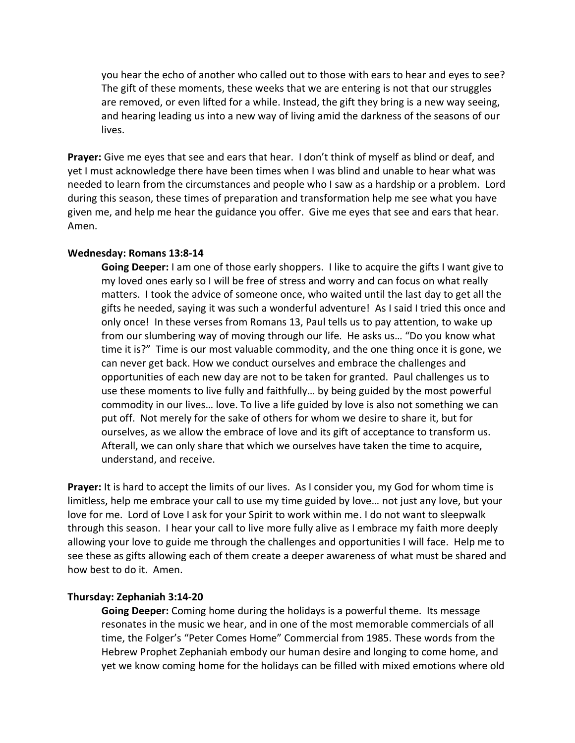you hear the echo of another who called out to those with ears to hear and eyes to see? The gift of these moments, these weeks that we are entering is not that our struggles are removed, or even lifted for a while. Instead, the gift they bring is a new way seeing, and hearing leading us into a new way of living amid the darkness of the seasons of our lives.

Prayer: Give me eyes that see and ears that hear. I don't think of myself as blind or deaf, and yet I must acknowledge there have been times when I was blind and unable to hear what was needed to learn from the circumstances and people who I saw as a hardship or a problem. Lord during this season, these times of preparation and transformation help me see what you have given me, and help me hear the guidance you offer. Give me eyes that see and ears that hear. Amen.

### **Wednesday: Romans 13:8-14**

**Going Deeper:** I am one of those early shoppers. I like to acquire the gifts I want give to my loved ones early so I will be free of stress and worry and can focus on what really matters. I took the advice of someone once, who waited until the last day to get all the gifts he needed, saying it was such a wonderful adventure! As I said I tried this once and only once! In these verses from Romans 13, Paul tells us to pay attention, to wake up from our slumbering way of moving through our life. He asks us… "Do you know what time it is?" Time is our most valuable commodity, and the one thing once it is gone, we can never get back. How we conduct ourselves and embrace the challenges and opportunities of each new day are not to be taken for granted. Paul challenges us to use these moments to live fully and faithfully… by being guided by the most powerful commodity in our lives… love. To live a life guided by love is also not something we can put off. Not merely for the sake of others for whom we desire to share it, but for ourselves, as we allow the embrace of love and its gift of acceptance to transform us. Afterall, we can only share that which we ourselves have taken the time to acquire, understand, and receive.

**Prayer:** It is hard to accept the limits of our lives. As I consider you, my God for whom time is limitless, help me embrace your call to use my time guided by love… not just any love, but your love for me. Lord of Love I ask for your Spirit to work within me. I do not want to sleepwalk through this season. I hear your call to live more fully alive as I embrace my faith more deeply allowing your love to guide me through the challenges and opportunities I will face. Help me to see these as gifts allowing each of them create a deeper awareness of what must be shared and how best to do it. Amen.

## **Thursday: Zephaniah 3:14-20**

**Going Deeper:** Coming home during the holidays is a powerful theme. Its message resonates in the music we hear, and in one of the most memorable commercials of all time, the Folger's "Peter Comes Home" Commercial from 1985. These words from the Hebrew Prophet Zephaniah embody our human desire and longing to come home, and yet we know coming home for the holidays can be filled with mixed emotions where old